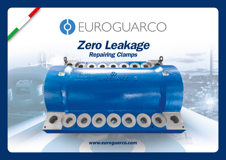

## *Zero Leakage*

*Repairing Clamps*

<u>alamanan alama</u>

U SUROGUARCO

2 500

*www.euroguarco.com*

000000